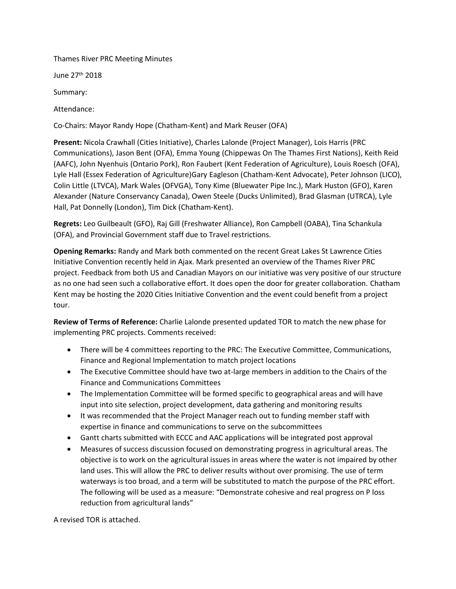# Thames River PRC Meeting Minutes

June 27th 2018

Summary:

Attendance:

Co-Chairs: Mayor Randy Hope (Chatham-Kent) and Mark Reuser (OFA)

**Present:** Nicola Crawhall (Cities Initiative), Charles Lalonde (Project Manager), Lois Harris (PRC Communications), Jason Bent (OFA), Emma Young (Chippewas On The Thames First Nations), Keith Reid (AAFC), John Nyenhuis (Ontario Pork), Ron Faubert (Kent Federation of Agriculture), Louis Roesch (OFA), Lyle Hall (Essex Federation of Agriculture)Gary Eagleson (Chatham-Kent Advocate), Peter Johnson (LICO), Colin Little (LTVCA), Mark Wales (OFVGA), Tony Kime (Bluewater Pipe Inc.), Mark Huston (GFO), Karen Alexander (Nature Conservancy Canada), Owen Steele (Ducks Unlimited), Brad Glasman (UTRCA), Lyle Hall, Pat Donnelly (London), Tim Dick (Chatham-Kent).

**Regrets:** Leo Guilbeault (GFO), Raj Gill (Freshwater Alliance), Ron Campbell (OABA), Tina Schankula (OFA), and Provincial Government staff due to Travel restrictions.

**Opening Remarks:** Randy and Mark both commented on the recent Great Lakes St Lawrence Cities Initiative Convention recently held in Ajax. Mark presented an overview of the Thames River PRC project. Feedback from both US and Canadian Mayors on our initiative was very positive of our structure as no one had seen such a collaborative effort. It does open the door for greater collaboration. Chatham Kent may be hosting the 2020 Cities Initiative Convention and the event could benefit from a project tour.

**Review of Terms of Reference:** Charlie Lalonde presented updated TOR to match the new phase for implementing PRC projects. Comments received:

- There will be 4 committees reporting to the PRC: The Executive Committee, Communications, Finance and Regional Implementation to match project locations
- The Executive Committee should have two at-large members in addition to the Chairs of the Finance and Communications Committees
- The Implementation Committee will be formed specific to geographical areas and will have input into site selection, project development, data gathering and monitoring results
- It was recommended that the Project Manager reach out to funding member staff with expertise in finance and communications to serve on the subcommittees
- Gantt charts submitted with ECCC and AAC applications will be integrated post approval
- Measures of success discussion focused on demonstrating progress in agricultural areas. The objective is to work on the agricultural issues in areas where the water is not impaired by other land uses. This will allow the PRC to deliver results without over promising. The use of term waterways is too broad, and a term will be substituted to match the purpose of the PRC effort. The following will be used as a measure: "Demonstrate cohesive and real progress on P loss reduction from agricultural lands"

A revised TOR is attached.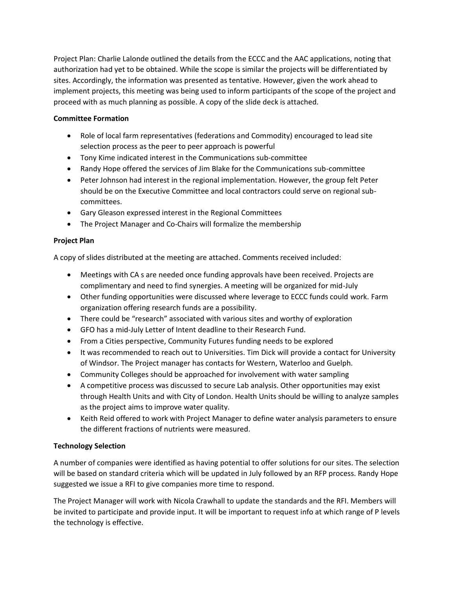Project Plan: Charlie Lalonde outlined the details from the ECCC and the AAC applications, noting that authorization had yet to be obtained. While the scope is similar the projects will be differentiated by sites. Accordingly, the information was presented as tentative. However, given the work ahead to implement projects, this meeting was being used to inform participants of the scope of the project and proceed with as much planning as possible. A copy of the slide deck is attached.

# **Committee Formation**

- Role of local farm representatives (federations and Commodity) encouraged to lead site selection process as the peer to peer approach is powerful
- Tony Kime indicated interest in the Communications sub-committee
- Randy Hope offered the services of Jim Blake for the Communications sub-committee
- Peter Johnson had interest in the regional implementation. However, the group felt Peter should be on the Executive Committee and local contractors could serve on regional subcommittees.
- Gary Gleason expressed interest in the Regional Committees
- The Project Manager and Co-Chairs will formalize the membership

# **Project Plan**

A copy of slides distributed at the meeting are attached. Comments received included:

- Meetings with CA s are needed once funding approvals have been received. Projects are complimentary and need to find synergies. A meeting will be organized for mid-July
- Other funding opportunities were discussed where leverage to ECCC funds could work. Farm organization offering research funds are a possibility.
- There could be "research" associated with various sites and worthy of exploration
- GFO has a mid-July Letter of Intent deadline to their Research Fund.
- From a Cities perspective, Community Futures funding needs to be explored
- It was recommended to reach out to Universities. Tim Dick will provide a contact for University of Windsor. The Project manager has contacts for Western, Waterloo and Guelph.
- Community Colleges should be approached for involvement with water sampling
- A competitive process was discussed to secure Lab analysis. Other opportunities may exist through Health Units and with City of London. Health Units should be willing to analyze samples as the project aims to improve water quality.
- Keith Reid offered to work with Project Manager to define water analysis parameters to ensure the different fractions of nutrients were measured.

# **Technology Selection**

A number of companies were identified as having potential to offer solutions for our sites. The selection will be based on standard criteria which will be updated in July followed by an RFP process. Randy Hope suggested we issue a RFI to give companies more time to respond.

The Project Manager will work with Nicola Crawhall to update the standards and the RFI. Members will be invited to participate and provide input. It will be important to request info at which range of P levels the technology is effective.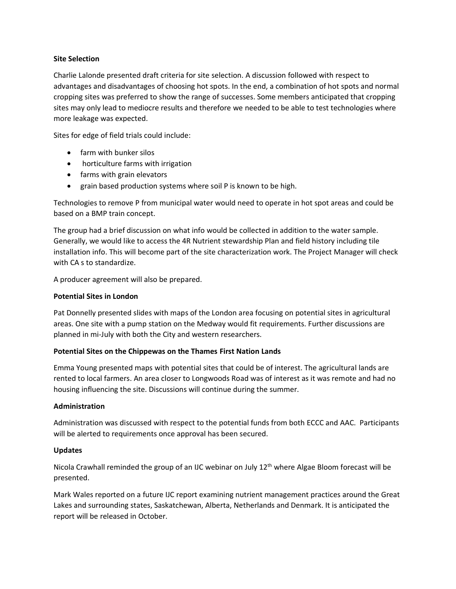# **Site Selection**

Charlie Lalonde presented draft criteria for site selection. A discussion followed with respect to advantages and disadvantages of choosing hot spots. In the end, a combination of hot spots and normal cropping sites was preferred to show the range of successes. Some members anticipated that cropping sites may only lead to mediocre results and therefore we needed to be able to test technologies where more leakage was expected.

Sites for edge of field trials could include:

- farm with bunker silos
- horticulture farms with irrigation
- farms with grain elevators
- grain based production systems where soil P is known to be high.

Technologies to remove P from municipal water would need to operate in hot spot areas and could be based on a BMP train concept.

The group had a brief discussion on what info would be collected in addition to the water sample. Generally, we would like to access the 4R Nutrient stewardship Plan and field history including tile installation info. This will become part of the site characterization work. The Project Manager will check with CA s to standardize.

A producer agreement will also be prepared.

### **Potential Sites in London**

Pat Donnelly presented slides with maps of the London area focusing on potential sites in agricultural areas. One site with a pump station on the Medway would fit requirements. Further discussions are planned in mi-July with both the City and western researchers.

# **Potential Sites on the Chippewas on the Thames First Nation Lands**

Emma Young presented maps with potential sites that could be of interest. The agricultural lands are rented to local farmers. An area closer to Longwoods Road was of interest as it was remote and had no housing influencing the site. Discussions will continue during the summer.

#### **Administration**

Administration was discussed with respect to the potential funds from both ECCC and AAC. Participants will be alerted to requirements once approval has been secured.

# **Updates**

Nicola Crawhall reminded the group of an IJC webinar on July 12<sup>th</sup> where Algae Bloom forecast will be presented.

Mark Wales reported on a future IJC report examining nutrient management practices around the Great Lakes and surrounding states, Saskatchewan, Alberta, Netherlands and Denmark. It is anticipated the report will be released in October.